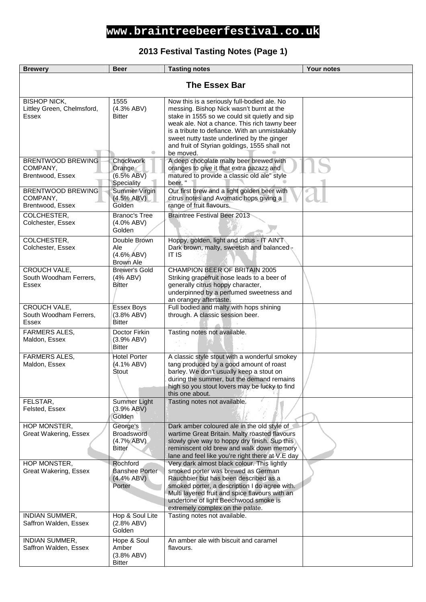#### **2013 Festival Tasting Notes (Page 1)**

| <b>Brewery</b>                                             | <b>Beer</b>                                              | <b>Tasting notes</b>                                                                                                                                                                                                                                                                                                                                   | <b>Your notes</b> |  |
|------------------------------------------------------------|----------------------------------------------------------|--------------------------------------------------------------------------------------------------------------------------------------------------------------------------------------------------------------------------------------------------------------------------------------------------------------------------------------------------------|-------------------|--|
| <b>The Essex Bar</b>                                       |                                                          |                                                                                                                                                                                                                                                                                                                                                        |                   |  |
| <b>BISHOP NICK,</b><br>Littley Green, Chelmsford,<br>Essex | 1555<br>(4.3% ABV)<br>Bitter<br>۰                        | Now this is a seriously full-bodied ale. No<br>messing. Bishop Nick wasn't burnt at the<br>stake in 1555 so we could sit quietly and sip<br>weak ale. Not a chance. This rich tawny beer<br>is a tribute to defiance. With an unmistakably<br>sweet nutty taste underlined by the ginger<br>and fruit of Styrian goldings, 1555 shall not<br>be moved. |                   |  |
| <b>BRENTWOOD BREWING</b><br>COMPANY,<br>Brentwood, Essex   | Chockwork<br>Orange<br>$(6.5\%$ ABV)<br>Speciality       | A deep chocolate malty beer brewed with<br>oranges to give it that extra pazazz and<br>matured to provide a classic old ale" style<br>beer."                                                                                                                                                                                                           |                   |  |
| BRENTWOOD BREWING<br>COMPANY,<br>Brentwood, Essex          | Summer Virgin<br>(4.5% ABV)<br>Golden                    | Our first brew and a light golden beer with<br>citrus notes and Avomatic hops giving a<br>range of fruit flavours.                                                                                                                                                                                                                                     |                   |  |
| COLCHESTER.<br>Colchester, Essex                           | <b>Branoc's Tree</b><br>$(4.0\%$ ABV)<br>Golden          | <b>Braintree Festival Beer 2013</b>                                                                                                                                                                                                                                                                                                                    |                   |  |
| COLCHESTER,<br>Colchester, Essex                           | Double Brown<br>Ale<br>$(4.6\%$ ABV)<br>Brown Ale        | Hoppy, golden, light and citrus - IT AIN'T<br>Dark brown, malty, sweetish and balanced -<br><b>IT IS</b>                                                                                                                                                                                                                                               |                   |  |
| <b>CROUCH VALE,</b><br>South Woodham Ferrers,<br>Essex     | <b>Brewer's Gold</b><br>$(4%$ ABV)<br>Bitter             | <b>CHAMPION BEER OF BRITAIN 2005</b><br>Striking grapefruit nose leads to a beer of<br>generally citrus hoppy character,<br>underpinned by a perfumed sweetness and<br>an orangey aftertaste.                                                                                                                                                          |                   |  |
| CROUCH VALE,<br>South Woodham Ferrers,<br>Essex            | <b>Essex Boys</b><br>(3.8% ABV)<br><b>Bitter</b>         | Full bodied and malty with hops shining<br>through. A classic session beer.                                                                                                                                                                                                                                                                            |                   |  |
| <b>FARMERS ALES,</b><br>Maldon, Essex                      | Doctor Firkin<br>(3.9% ABV)<br>Bitter                    | Tasting notes not available.                                                                                                                                                                                                                                                                                                                           |                   |  |
| FARMERS ALES,<br>Maldon, Essex                             | <b>Hotel Porter</b><br>$(4.1\%$ ABV)<br>Stout            | A classic style stout with a wonderful smokey<br>tang produced by a good amount of roast<br>barley. We don't usually keep a stout on<br>during the summer, but the demand remains<br>high so you stout lovers may be lucky to find<br>this one about.                                                                                                  |                   |  |
| FELSTAR,<br>Felsted, Essex                                 | Summer Light<br>(3.9% ABV)<br>Golden                     | Tasting notes not available.                                                                                                                                                                                                                                                                                                                           |                   |  |
| HOP MONSTER,<br>Great Wakering, Essex                      | George's<br><b>Broadsword</b><br>$(4.7\%$ ABV)<br>Bitter | Dark amber coloured ale in the old style of<br>wartime Great Britain. Malty roasted flavours<br>slowly give way to hoppy dry finish. Sup this<br>reminiscent old brew and walk down memory<br>lane and feel like you're right there at V.E day                                                                                                         |                   |  |
| HOP MONSTER,<br><b>Great Wakering, Essex</b>               | Rochford<br>Banshee Porter<br>(4.4% ABV)<br>Porter       | Very dark almost black colour. This lightly<br>smoked porter was brewed as German<br>Rauchbier but has been described as a<br>smoked porter, a description I do agree with.<br>Multi layered fruit and spice flavours with an<br>undertone of light Beechwood smoke is<br>extremely complex on the palate.                                             |                   |  |
| <b>INDIAN SUMMER,</b><br>Saffron Walden, Essex             | Hop & Soul Lite<br>$(2.8\%$ ABV)<br>Golden               | Tasting notes not available.                                                                                                                                                                                                                                                                                                                           |                   |  |
| INDIAN SUMMER,<br>Saffron Walden, Essex                    | Hope & Soul<br>Amber<br>(3.8% ABV)<br><b>Bitter</b>      | An amber ale with biscuit and caramel<br>flavours.                                                                                                                                                                                                                                                                                                     |                   |  |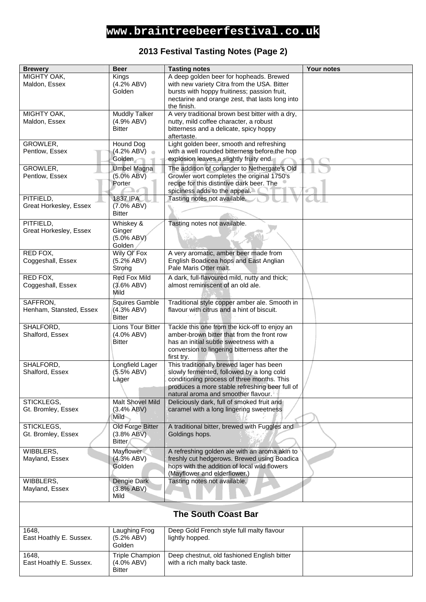#### **2013 Festival Tasting Notes (Page 2)**

| <b>Brewery</b>                      | <b>Beer</b>                 | <b>Tasting notes</b>                                                                         | <b>Your notes</b> |  |
|-------------------------------------|-----------------------------|----------------------------------------------------------------------------------------------|-------------------|--|
| MIGHTY OAK,                         | Kings                       | A deep golden beer for hopheads. Brewed                                                      |                   |  |
| Maldon, Essex                       | (4.2% ABV)                  | with new variety Citra from the USA. Bitter                                                  |                   |  |
|                                     | Golden                      | bursts with hoppy fruitiness; passion fruit,                                                 |                   |  |
|                                     |                             | nectarine and orange zest, that lasts long into<br>the finish.                               |                   |  |
| MIGHTY OAK,                         | <b>Muddly Talker</b>        | A very traditional brown best bitter with a dry,                                             |                   |  |
| Maldon, Essex                       | (4.9% ABV)                  | nutty, mild coffee character, a robust                                                       |                   |  |
|                                     | <b>Bitter</b>               | bitterness and a delicate, spicy hoppy                                                       |                   |  |
|                                     |                             | aftertaste.                                                                                  |                   |  |
| GROWLER,<br>Pentlow, Essex          | Hound Dog<br>(4.2% ABV)     | Light golden beer, smooth and refreshing<br>with a well rounded bitterness before the hop    |                   |  |
|                                     | <b>Golden</b>               | explosion leaves a slightly fruity end.                                                      |                   |  |
| GROWLER,                            | <b>Umbel Magna</b>          | The addition of coriander to Nethergate's Old                                                |                   |  |
| Pentlow, Essex                      | $(5.0\%$ ABV)               | Growler wort completes the original 1750's                                                   |                   |  |
|                                     | Porter                      | recipe for this distintive dark beer. The                                                    |                   |  |
|                                     |                             | spiciness adds to the appeal.                                                                |                   |  |
| PITFIELD,                           | 1837 IPA                    | Tasting notes not available.                                                                 |                   |  |
| Great Horkesley, Essex              | (7.0% ABV)<br><b>Bitter</b> |                                                                                              |                   |  |
|                                     |                             | Tasting notes not available.                                                                 |                   |  |
| PITFIELD,<br>Great Horkesley, Essex | Whiskey &<br>Ginger         |                                                                                              |                   |  |
|                                     | $(5.0\%$ ABV)               |                                                                                              |                   |  |
|                                     | Golden                      |                                                                                              |                   |  |
| RED FOX,                            | Wily Of Fox                 | A very aromatic, amber beer made from                                                        |                   |  |
| Coggeshall, Essex                   | (5.2% ABV)                  | English Boadicea hops and East Anglian                                                       |                   |  |
|                                     | Strong                      | Pale Maris Otter malt.                                                                       |                   |  |
| RED FOX,<br>Coggeshall, Essex       | Red Fox Mild<br>(3.6% ABV)  | A dark, full-flavoured mild, nutty and thick;<br>almost reminiscent of an old ale.           |                   |  |
|                                     | Mild                        |                                                                                              |                   |  |
| SAFFRON,                            | <b>Squires Gamble</b>       | Traditional style copper amber ale. Smooth in                                                |                   |  |
| Henham, Stansted, Essex             | (4.3% ABV)                  | flavour with citrus and a hint of biscuit.                                                   |                   |  |
|                                     | <b>Bitter</b>               |                                                                                              |                   |  |
| SHALFORD,                           | Lions Tour Bitter           | Tackle this one from the kick-off to enjoy an                                                |                   |  |
| Shalford, Essex                     | $(4.0\%$ ABV)               | amber-brown bitter that from the front row                                                   |                   |  |
|                                     | <b>Bitter</b>               | has an initial subtle sweetness with a                                                       |                   |  |
|                                     |                             | conversion to lingering bitterness after the<br>first try.                                   |                   |  |
| SHALFORD,                           | Longfield Lager             | This traditionally brewed lager has been                                                     |                   |  |
| Shalford, Essex                     | (5.5% ABV)                  | slowly fermented, followed by a long cold                                                    |                   |  |
|                                     | Låger                       | conditioning process of three months. This                                                   |                   |  |
|                                     |                             | produces a more stable refreshing beer full of<br>natural aroma and smoother flavour.        |                   |  |
| STICKLEGS,                          | Malt Shovel Mild            | Deliciously dark, full of smoked fruit and                                                   |                   |  |
| Gt. Bromley, Essex                  | (3.4% ABV)                  | caramel with a long lingering sweetness                                                      |                   |  |
|                                     | Mild \                      |                                                                                              |                   |  |
| STICKLEGS,                          | Old Forge Bitter            | A traditional bitter, brewed with Fuggles and                                                |                   |  |
| Gt. Bromley, Essex                  | (3.8% ABV)                  | Goldings hops.                                                                               |                   |  |
|                                     | <b>Bitter</b>               |                                                                                              |                   |  |
| WIBBLERS,                           | Mayflower<br>(4.3% ABV)     | A refreshing golden ale with an aroma akin to<br>freshly cut hedgerows. Brewed using Boadica |                   |  |
| Mayland, Essex                      | Golden                      | hops with the addition of local wild flowers                                                 |                   |  |
|                                     |                             | (Mayflower and elderflower.)                                                                 |                   |  |
| WIBBLERS,                           | Dengie Dark                 | Tasting notes not available.                                                                 |                   |  |
| Mayland, Essex                      | (3.8% ABV)                  |                                                                                              |                   |  |
|                                     | Mild                        |                                                                                              |                   |  |
|                                     |                             |                                                                                              |                   |  |
| <b>The South Coast Bar</b>          |                             |                                                                                              |                   |  |
| 1648,                               | Laughing Frog               | Deep Gold French style full malty flavour                                                    |                   |  |
| East Hoathly E. Sussex.             | (5.2% ABV)                  | lightly hopped.                                                                              |                   |  |
|                                     | Golden                      |                                                                                              |                   |  |
| 1648,                               | <b>Triple Champion</b>      | Deep chestnut, old fashioned English bitter                                                  |                   |  |
| East Hoathly E. Sussex.             | $(4.0\%$ ABV)               | with a rich malty back taste.                                                                |                   |  |
|                                     | <b>Bitter</b>               |                                                                                              |                   |  |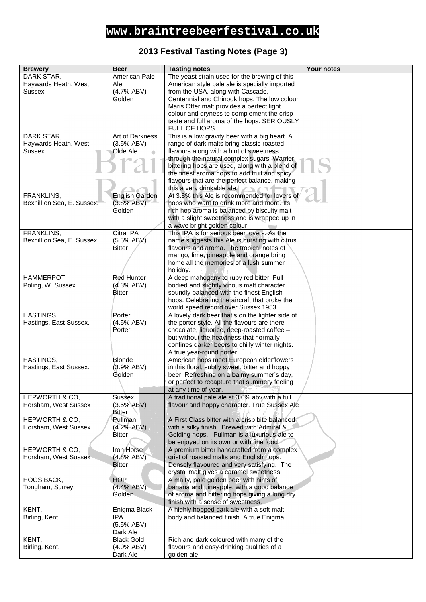#### **2013 Festival Tasting Notes (Page 3)**

| <b>Brewery</b>                   | <b>Beer</b>              | <b>Tasting notes</b>                                                                   | Your notes |
|----------------------------------|--------------------------|----------------------------------------------------------------------------------------|------------|
| DARK STAR,                       | American Pale            | The yeast strain used for the brewing of this                                          |            |
| Haywards Heath, West             | Ale                      | American style pale ale is specially imported                                          |            |
| Sussex                           | (4.7% ABV)               | from the USA, along with Cascade,                                                      |            |
|                                  | Golden                   | Centennial and Chinook hops. The low colour                                            |            |
|                                  |                          | Maris Otter malt provides a perfect light                                              |            |
|                                  |                          | colour and dryness to complement the crisp                                             |            |
|                                  |                          | taste and full aroma of the hops. SERIOUSLY                                            |            |
|                                  |                          | FULL OF HOPS                                                                           |            |
| DARK STAR,                       | Art of Darkness          | This is a low gravity beer with a big heart. A                                         |            |
| Haywards Heath, West             | (3.5% ABV)               | range of dark malts bring classic roasted                                              |            |
| Sussex                           | Olde Ale                 | flavours along with a hint of sweetness                                                |            |
|                                  |                          | through the natural complex sugars. Warrior                                            |            |
|                                  |                          | bittering hops are used, along with a blend of                                         |            |
|                                  |                          | the finest aroma hops to add fruit and spicy                                           |            |
|                                  |                          | flayours that are the perfect balance, making                                          |            |
|                                  |                          | this a very drinkable ale.                                                             |            |
| FRANKLINS,                       | English Garden           | At 3.8% this Ale is recommended for lovers of                                          |            |
| Bexhill on Sea, E. Sussex.       | (3.8% ABV)               | hops who want to drink more and more. Its                                              |            |
|                                  | Golden                   | rich hop aroma is balanced by biscuity malt                                            |            |
|                                  |                          | with a slight sweetness and is wrapped up in                                           |            |
|                                  |                          | a wave bright golden colour.                                                           |            |
| <b>FRANKLINS,</b>                | Citra IPA                | This IPA is for serious beer lovers. As the                                            |            |
| Bexhill on Sea, E. Sussex.       | $(5.5\% ABV)$            | name suggests this Ale is bursting with citrus                                         |            |
|                                  | <b>Bitter</b>            | flavours and aroma. The tropical notes of                                              |            |
|                                  |                          | mango, lime, pineapple and orange bring                                                |            |
|                                  |                          | home all the memories of a lush summer                                                 |            |
|                                  | Red Hunter               | holiday.                                                                               |            |
| HAMMERPOT,<br>Poling, W. Sussex. | (4.3% ABV)               | A deep mahogany to ruby red bitter. Full<br>bodied and slightly vinous malt character  |            |
|                                  | <b>Bitter</b>            | soundly balanced with the finest English                                               |            |
|                                  |                          | hops. Celebrating the aircraft that broke the                                          |            |
|                                  |                          | world speed record over Sussex 1953                                                    |            |
| HASTINGS,                        | Porter                   | A lovely dark beer that's on the lighter side of                                       |            |
| Hastings, East Sussex.           | $(4.5\%$ ABV)            | the porter style. All the flavours are there -                                         |            |
|                                  | Porter                   | chocolate, liquorice, deep-roasted coffee -                                            |            |
|                                  |                          | but without the heaviness that normally                                                |            |
|                                  |                          | confines darker beers to chilly winter nights.                                         |            |
|                                  |                          | A true year-round porter.                                                              |            |
| HASTINGS,                        | <b>Blonde</b>            | American hops meet European elderflowers                                               |            |
| Hastings, East Sussex.           | (3.9% ABV)               | in this floral, subtly sweet, bitter and hoppy                                         |            |
|                                  | Golden                   | beer. Refreshing on a balmy summer's day,                                              |            |
|                                  |                          | or perfect to recapture that summery feeling                                           |            |
|                                  |                          | at any time of year.                                                                   |            |
| HEPWORTH & CO,                   | Sussex                   | A traditional pale ale at 3.6% aby with a full                                         |            |
| Horsham, West Sussex             | (3.5% ABV)               | flavour and hoppy character. True Sussex Ale                                           |            |
|                                  | Bitter                   |                                                                                        |            |
| HEPWORTH & CO,                   | Pullman                  | A First Class bitter with a crisp bite balanced                                        |            |
| Horsham, West Sussex             | (4.2% ABV)               | with a silky finish. Brewed with Admiral &                                             |            |
|                                  | Bitter                   | Golding hops, Pullman is a luxurious ale to                                            |            |
|                                  |                          | be enjoyed on its own or with fine food.                                               |            |
| HEPWORTH & CO,                   | Iron Horse<br>(4.8% ABV) | A premium bitter handcrafted from a complex                                            |            |
| Horsham, West Sussex             | Bitter                   | grist of roasted malts and English hops.<br>Densely flavoured and very satisfying. The |            |
|                                  |                          | crystal malt gives a caramel sweetness.                                                |            |
| HOGS BACK,                       | <b>HOP</b>               | A malty, pale golden beer with hints of                                                |            |
| Tongham, Surrey.                 | (4.4% ABV)               | banana and pineapple, with a good balance                                              |            |
|                                  | Golden                   | of aroma and bittering hops giving a long dry                                          |            |
|                                  |                          | finish with a sense of sweetness.                                                      |            |
| KENT,                            | Enigma Black             | A highly hopped dark ale with a soft malt                                              |            |
| Birling, Kent.                   | <b>IPA</b>               | body and balanced finish. A true Enigma                                                |            |
|                                  | (5.5% ABV)               |                                                                                        |            |
|                                  | Dark Ale                 |                                                                                        |            |
| KENT,                            | <b>Black Gold</b>        | Rich and dark coloured with many of the                                                |            |
| Birling, Kent.                   | $(4.0\%$ ABV)            | flavours and easy-drinking qualities of a                                              |            |
|                                  | Dark Ale                 | golden ale.                                                                            |            |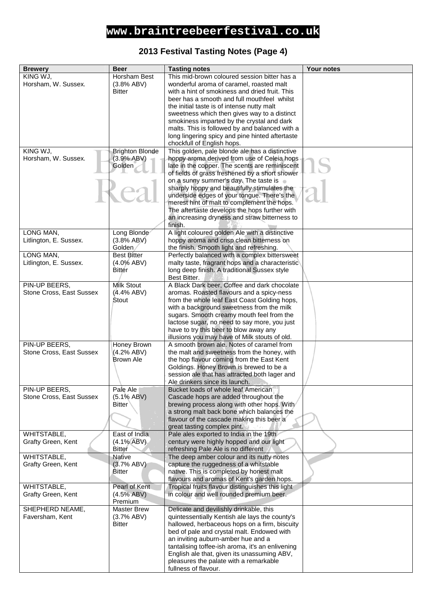#### **2013 Festival Tasting Notes (Page 4)**

| <b>Brewery</b>           | <b>Beer</b>            | <b>Tasting notes</b>                                                                             | Your notes |
|--------------------------|------------------------|--------------------------------------------------------------------------------------------------|------------|
| KING WJ,                 | Horsham Best           | This mid-brown coloured session bitter has a                                                     |            |
| Horsham, W. Sussex.      | (3.8% ABV)             | wonderful aroma of caramel, roasted malt                                                         |            |
|                          | <b>Bitter</b>          | with a hint of smokiness and dried fruit. This                                                   |            |
|                          |                        | beer has a smooth and full mouthfeel whilst                                                      |            |
|                          |                        | the initial taste is of intense nutty malt                                                       |            |
|                          |                        | sweetness which then gives way to a distinct                                                     |            |
|                          |                        | smokiness imparted by the crystal and dark                                                       |            |
|                          |                        | malts. This is followed by and balanced with a                                                   |            |
|                          |                        | long lingering spicy and pine hinted aftertaste                                                  |            |
|                          |                        | chockfull of English hops.                                                                       |            |
| KING WJ,                 | <b>Brighton Blonde</b> | This golden, pale blonde ale has a distinctive                                                   |            |
| Horsham, W. Sussex.      |                        | hoppy aroma derived from use of Celeia hops                                                      |            |
|                          | (3.9% ABV)             |                                                                                                  |            |
|                          | Golden                 | late in the copper. The scents are reminiscent<br>of fields of grass freshened by a short shower |            |
|                          |                        | on a sunny summer's day. The taste is on                                                         |            |
|                          |                        |                                                                                                  |            |
|                          |                        | sharply hoppy and beautifully stimulates the                                                     |            |
|                          |                        | underside edges of your tongue. There's the                                                      |            |
|                          |                        | merest hint of malt to complement the hops.                                                      |            |
|                          |                        | The aftertaste develops the hops further with                                                    |            |
|                          |                        | an increasing dryness and straw bitterness to                                                    |            |
|                          |                        | finish.                                                                                          |            |
| LONG MAN,                | Long Blonde            | A light coloured golden Ale with a distinctive                                                   |            |
| Litlington, E. Sussex.   | (3.8% ABV)             | hoppy aroma and crisp clean bitterness on                                                        |            |
|                          | Golden                 | the finish. Smooth light and refreshing.                                                         |            |
| LONG MAN,                | <b>Best Bitter</b>     | Perfectly balanced with a complex bittersweet                                                    |            |
| Litlington, E. Sussex.   | $(4.0\%$ ABV)          | malty taste, fragrant hops and a characteristic                                                  |            |
|                          | Bitter                 | long deep finish. A traditional Sussex style                                                     |            |
|                          |                        | Best Bitter.                                                                                     |            |
| PIN-UP BEERS,            | Milk Stout             | A Black Dark beer, Coffee and dark chocolate                                                     |            |
| Stone Cross, East Sussex | (4.4% ABV)             | aromas. Roasted flavours and a spicy-ness                                                        |            |
|                          | Stout                  | from the whole leaf East Coast Golding hops,                                                     |            |
|                          |                        | with a background sweetness from the milk                                                        |            |
|                          |                        | sugars. Smooth creamy mouth feel from the                                                        |            |
|                          |                        | lactose sugar, no need to say more, you just                                                     |            |
|                          |                        | have to try this beer to blow away any                                                           |            |
|                          |                        | illusions you may have of Milk stouts of old.                                                    |            |
| PIN-UP BEERS,            | Honey Brown            | A smooth brown ale. Notes of caramel from                                                        |            |
| Stone Cross, East Sussex | (4.2% ABV)             | the malt and sweetness from the honey, with                                                      |            |
|                          | Brown Ale              | the hop flavour coming from the East Kent                                                        |            |
|                          |                        | Goldings. Honey Brown is brewed to be a                                                          |            |
|                          |                        | session ale that has attracted both lager and                                                    |            |
|                          |                        | Ale drinkers since its launch.                                                                   |            |
| PIN-UP BEERS,            | Pale Ale               | Bucket loads of whole leaf American                                                              |            |
| Stone Cross, East Sussex | $(5.1\%$ ABV)          | Cascade hops are added throughout the                                                            |            |
|                          | <b>Bitter</b>          | brewing process along with other hops. With                                                      |            |
|                          |                        | a strong malt back bone which balances the                                                       |            |
|                          |                        | flavour of the cascade making this beer a                                                        |            |
|                          |                        | great tasting complex pint.                                                                      |            |
| WHITSTABLE,              | East of India          | Pale ales exported to India in the 19th                                                          |            |
| Grafty Green, Kent       | $(4.1\% ABV)$          | century were highly hopped and our light                                                         |            |
|                          | <b>Bitter</b>          | refreshing Pale Ale is no different                                                              |            |
| WHITSTABLE,              | Native                 | The deep amber colour and its nutty notes                                                        |            |
| Grafty Green, Kent       | (3.7% ABV)             | capture the ruggedness of a whitstable                                                           |            |
|                          | Bitter                 | native. This is completed by honest malt                                                         |            |
|                          |                        | flavours and aromas of Kent's garden hops.                                                       |            |
|                          | Pearl of Kent          | Tropical fruits flavour distinguishes this light                                                 |            |
| WHITSTABLE,              |                        | in colour and well rounded premium beer.                                                         |            |
| Grafty Green, Kent       | $(4.5\%$ ABV)          |                                                                                                  |            |
|                          | Premium                |                                                                                                  |            |
| SHEPHERD NEAME,          | <b>Master Brew</b>     | Delicate and devilishly drinkable, this                                                          |            |
| Faversham, Kent          | (3.7% ABV)             | quintessentially Kentish ale lays the county's                                                   |            |
|                          | <b>Bitter</b>          | hallowed, herbaceous hops on a firm, biscuity                                                    |            |
|                          |                        | bed of pale and crystal malt. Endowed with                                                       |            |
|                          |                        | an inviting auburn-amber hue and a                                                               |            |
|                          |                        | tantalising toffee-ish aroma, it's an enlivening                                                 |            |
|                          |                        | English ale that, given its unassuming ABV,                                                      |            |
|                          |                        | pleasures the palate with a remarkable                                                           |            |
|                          |                        | fullness of flavour.                                                                             |            |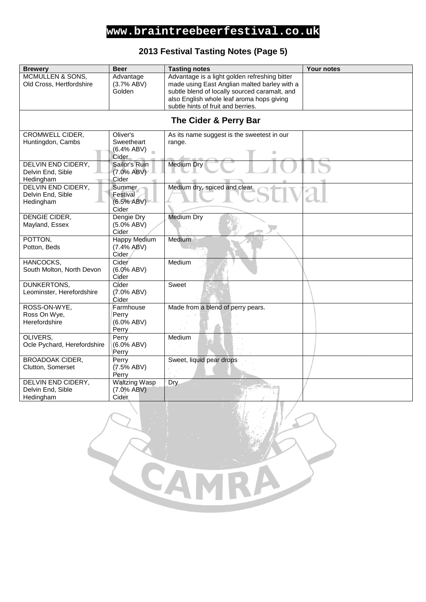#### **2013 Festival Tasting Notes (Page 5)**

| <b>Brewery</b>                          | <b>Beer</b>                 | <b>Tasting notes</b>                                                            | <b>Your notes</b> |
|-----------------------------------------|-----------------------------|---------------------------------------------------------------------------------|-------------------|
| <b>MCMULLEN &amp; SONS,</b>             | Advantage                   | Advantage is a light golden refreshing bitter                                   |                   |
| Old Cross, Hertfordshire                | (3.7% ABV)                  | made using East Anglian malted barley with a                                    |                   |
|                                         | Golden                      | subtle blend of locally sourced caramalt, and                                   |                   |
|                                         |                             | also English whole leaf aroma hops giving<br>subtle hints of fruit and berries. |                   |
|                                         |                             |                                                                                 |                   |
|                                         |                             | The Cider & Perry Bar                                                           |                   |
| CROMWELL CIDER,                         | Oliver's                    | As its name suggest is the sweetest in our                                      |                   |
| Huntingdon, Cambs                       | Sweetheart                  | range.                                                                          |                   |
|                                         | (6.4% ABV)                  |                                                                                 |                   |
| DELVIN END CIDERY,                      | Cider<br>Sailor's Ruin      | <b>Medium Dry</b>                                                               |                   |
| Delvin End, Sible                       | $(7.0\%$ ABV)               |                                                                                 |                   |
| Hedingham                               | Cider                       |                                                                                 |                   |
| DELVIN END CIDERY,                      | Summer                      | Medium dry, spiced and clear                                                    |                   |
| Delvin End, Sible                       | Festival                    |                                                                                 |                   |
| Hedingham                               | (6.5% ABV)                  |                                                                                 |                   |
|                                         | Cider                       |                                                                                 |                   |
| DENGIE CIDER,<br>Mayland, Essex         | Dengie Dry<br>$(5.0\%$ ABV) | <b>Medium Dry</b>                                                               |                   |
|                                         | Cider                       |                                                                                 |                   |
| POTTON,                                 | <b>Happy Medium</b>         | Medium                                                                          |                   |
| Potton, Beds                            | $(7.4\%$ ABV)               |                                                                                 |                   |
|                                         | Cider                       |                                                                                 |                   |
| HANCOCKS,                               | Cider                       | Medium                                                                          |                   |
| South Molton, North Devon               | $(6.0\%$ ABV)<br>Cider      |                                                                                 |                   |
| <b>DUNKERTONS,</b>                      | Cider                       | Sweet                                                                           |                   |
| Leominster, Herefordshire               | $(7.0\%$ ABV)               |                                                                                 |                   |
|                                         | Cider                       |                                                                                 |                   |
| ROSS-ON-WYE,                            | Farmhouse                   | Made from a blend of perry pears.                                               |                   |
| Ross On Wye,                            | Perry                       |                                                                                 |                   |
| Herefordshire                           | $(6.0\%$ ABV)<br>Perry      |                                                                                 |                   |
| OLIVERS,                                | Perry                       | Medium                                                                          |                   |
| Ocle Pychard, Herefordshire             | $(6.0\%$ ABV)               |                                                                                 |                   |
|                                         | Perry                       |                                                                                 |                   |
| <b>BROADOAK CIDER,</b>                  | Perry                       | Sweet, liquid pear drops                                                        |                   |
| Clutton, Somerset                       | (7.5% ABV)                  |                                                                                 |                   |
|                                         | Perry                       |                                                                                 |                   |
| DELVIN END CIDERY,<br>Delvin End, Sible | <b>Waltzing Wasp</b>        | Dry.                                                                            |                   |
| Hedingham                               | $(7.0\%$ ABV)<br>Cider      |                                                                                 |                   |
|                                         |                             |                                                                                 |                   |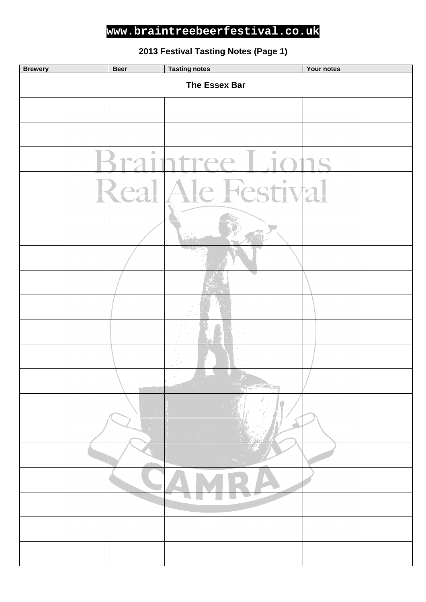#### **2013 Festival Tasting Notes (Page 1)**

| <b>Brewery</b> | <b>Beer</b>   | <b>Tasting notes</b>                      | Your notes |  |
|----------------|---------------|-------------------------------------------|------------|--|
| The Essex Bar  |               |                                           |            |  |
|                |               |                                           |            |  |
|                |               |                                           |            |  |
|                | $\oplus$      | $\bigcirc$<br><b>TPP</b>                  |            |  |
|                |               |                                           |            |  |
|                |               |                                           |            |  |
|                |               |                                           |            |  |
|                |               |                                           |            |  |
|                |               |                                           |            |  |
|                |               |                                           |            |  |
|                |               |                                           |            |  |
|                |               |                                           |            |  |
|                |               | فكالسبير<br>99<br><b>San Bridge</b><br>Ħ. |            |  |
|                | $\mathcal{A}$ | Ú                                         |            |  |
|                |               | $\mathcal{A}^{\prime}$                    |            |  |
|                |               |                                           |            |  |
|                |               |                                           |            |  |
|                |               |                                           |            |  |
|                |               |                                           |            |  |
|                |               |                                           |            |  |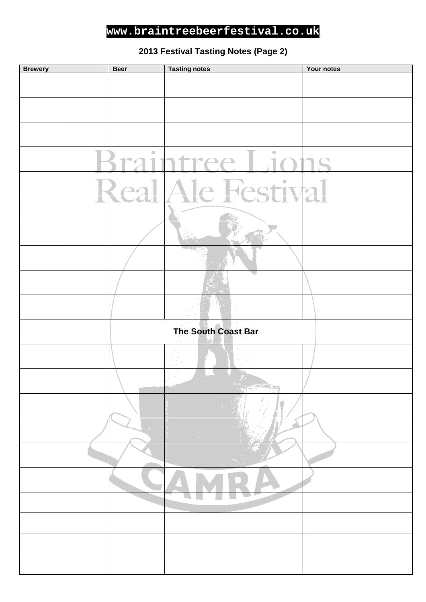**2013 Festival Tasting Notes (Page 2)** 

| <b>Brewery</b> | <b>Beer</b>                          | <b>Tasting notes</b>   | Your notes |
|----------------|--------------------------------------|------------------------|------------|
|                |                                      |                        |            |
|                |                                      |                        |            |
|                |                                      |                        |            |
|                |                                      |                        |            |
|                |                                      |                        |            |
|                | $\qquad \qquad \qquad \qquad \qquad$ | $\bigcirc$<br>tr<br>ee |            |
|                |                                      | ö                      | ₫          |
|                |                                      |                        | ш          |
|                |                                      |                        |            |
|                |                                      |                        |            |
|                |                                      |                        |            |
|                |                                      |                        |            |
|                |                                      |                        |            |
|                |                                      | The South Coast Bar    |            |
|                |                                      |                        |            |
|                |                                      |                        |            |
|                |                                      |                        |            |
|                |                                      |                        |            |
|                |                                      | $\mathcal{L}$          |            |
|                |                                      |                        |            |
|                |                                      |                        |            |
|                |                                      |                        |            |
|                |                                      |                        |            |
|                |                                      |                        |            |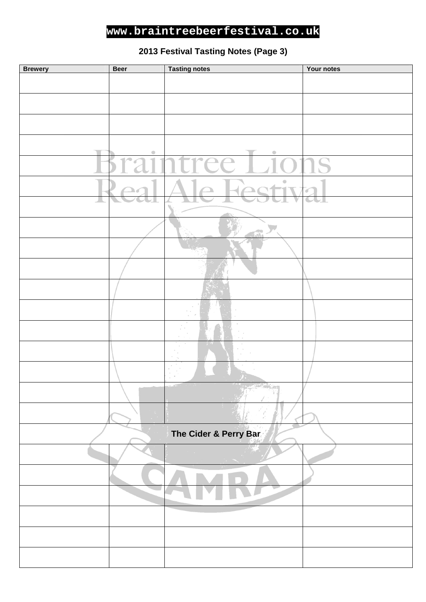**2013 Festival Tasting Notes (Page 3)** 

| <b>Brewery</b> | <b>Beer</b>                                                                                 | <b>Tasting notes</b>                           | Your notes   |
|----------------|---------------------------------------------------------------------------------------------|------------------------------------------------|--------------|
|                |                                                                                             |                                                |              |
|                |                                                                                             |                                                |              |
|                |                                                                                             |                                                |              |
|                | $\begin{array}{ccc} \bullet & \bullet & \bullet \\ \bullet & \bullet & \bullet \end{array}$ | $\qquad \qquad \bullet$                        |              |
|                | r <sub>a</sub><br>$\blacksquare$<br>D                                                       | atree Li                                       |              |
|                |                                                                                             | $\overline{\mathbf{F}}$ ec<br>$\blacktriangle$ | $\mathbb{C}$ |
|                |                                                                                             |                                                | z.           |
|                |                                                                                             |                                                |              |
|                |                                                                                             |                                                |              |
|                |                                                                                             |                                                |              |
|                |                                                                                             |                                                |              |
|                |                                                                                             |                                                |              |
|                |                                                                                             |                                                |              |
|                |                                                                                             |                                                |              |
|                |                                                                                             |                                                |              |
|                |                                                                                             |                                                |              |
|                |                                                                                             |                                                |              |
|                |                                                                                             | The Cider & Perry Bar                          |              |
|                |                                                                                             |                                                |              |
|                |                                                                                             |                                                |              |
|                |                                                                                             |                                                |              |
|                |                                                                                             |                                                |              |
|                |                                                                                             |                                                |              |
|                |                                                                                             |                                                |              |